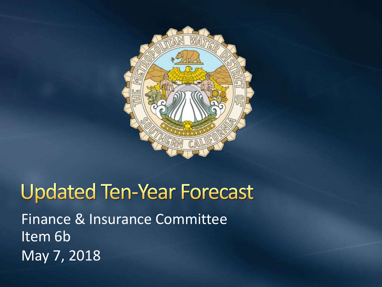

### **Updated Ten-Year Forecast**

Finance & Insurance Committee Item 6b May 7, 2018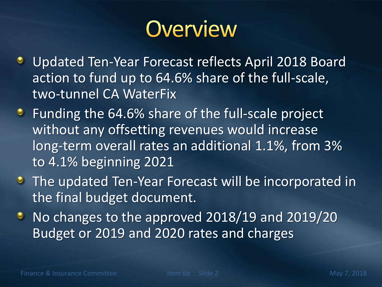# **Overview**

- Updated Ten-Year Forecast reflects April 2018 Board action to fund up to 64.6% share of the full-scale, two-tunnel CA WaterFix
- **•** Funding the 64.6% share of the full-scale project without any offsetting revenues would increase long-term overall rates an additional 1.1%, from 3% to 4.1% beginning 2021
- **The updated Ten-Year Forecast will be incorporated in** the final budget document.
- No changes to the approved 2018/19 and 2019/20  $\bullet$ Budget or 2019 and 2020 rates and charges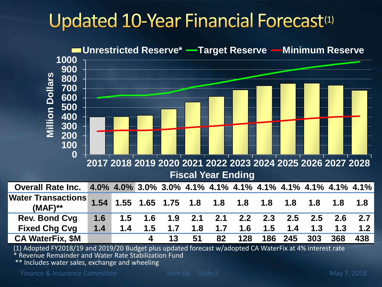#### **Updated 10-Year Financial Forecast**<sup>(1)</sup>



(1) Adopted FY2018/19 and 2019/20 Budget plus updated forecast w/adopted CA WaterFix at 4% interest rate Revenue Remainder and Water Rate Stabilization Fund

\*\* Includes water sales, exchange and wheeling

Finance & Insurance Committee Item 6b Slide 3 May 7, 2018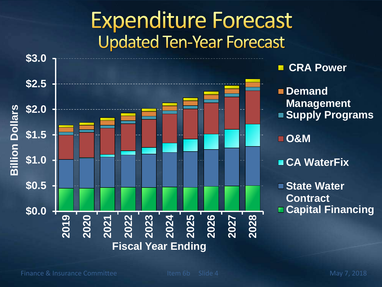#### **Expenditure Forecast Updated Ten-Year Forecast**



Finance & Insurance Committee The Item 6b Slide 4 May 7, 2018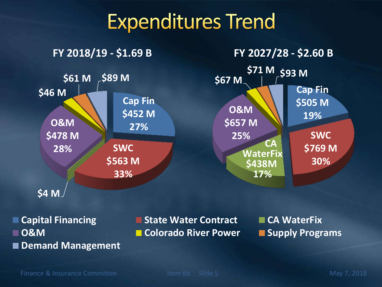#### **Expenditures Trend**



**O&M Colorado River Power Supply Programs Demand Management**

■ Capital Financing ■ State Water Contract ■ CA WaterFix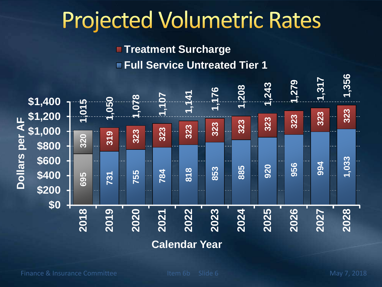# **Projected Volumetric Rates**

**Treatment Surcharge Full Service Untreated Tier 1**